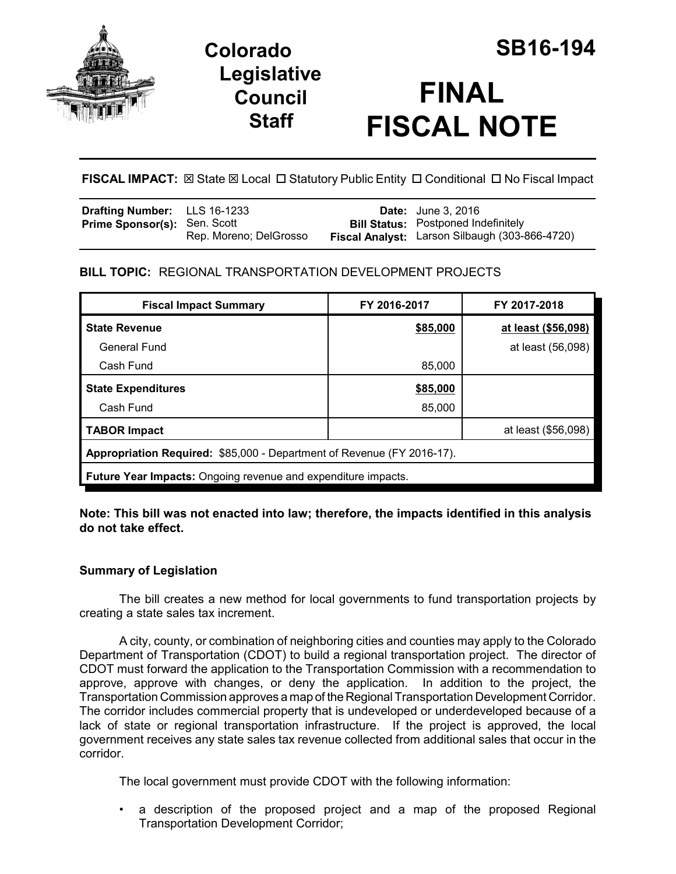

**Legislative Council Staff**

# **FINAL FISCAL NOTE**

FISCAL IMPACT:  $\boxtimes$  State  $\boxtimes$  Local  $\Box$  Statutory Public Entity  $\Box$  Conditional  $\Box$  No Fiscal Impact

| <b>Drafting Number:</b> LLS 16-1233 |                        | <b>Date:</b> June 3, 2016                      |
|-------------------------------------|------------------------|------------------------------------------------|
| <b>Prime Sponsor(s): Sen. Scott</b> |                        | <b>Bill Status:</b> Postponed Indefinitely     |
|                                     | Rep. Moreno; DelGrosso | Fiscal Analyst: Larson Silbaugh (303-866-4720) |

## **BILL TOPIC:** REGIONAL TRANSPORTATION DEVELOPMENT PROJECTS

| <b>Fiscal Impact Summary</b>                                           | FY 2016-2017 | FY 2017-2018        |  |  |  |
|------------------------------------------------------------------------|--------------|---------------------|--|--|--|
| <b>State Revenue</b>                                                   | \$85,000     | at least (\$56,098) |  |  |  |
| General Fund                                                           |              | at least (56,098)   |  |  |  |
| Cash Fund                                                              | 85,000       |                     |  |  |  |
| <b>State Expenditures</b>                                              | \$85,000     |                     |  |  |  |
| Cash Fund                                                              | 85,000       |                     |  |  |  |
| <b>TABOR Impact</b>                                                    |              | at least (\$56,098) |  |  |  |
| Appropriation Required: \$85,000 - Department of Revenue (FY 2016-17). |              |                     |  |  |  |
| <b>Future Year Impacts:</b> Ongoing revenue and expenditure impacts.   |              |                     |  |  |  |

**Note: This bill was not enacted into law; therefore, the impacts identified in this analysis do not take effect.**

## **Summary of Legislation**

The bill creates a new method for local governments to fund transportation projects by creating a state sales tax increment.

A city, county, or combination of neighboring cities and counties may apply to the Colorado Department of Transportation (CDOT) to build a regional transportation project. The director of CDOT must forward the application to the Transportation Commission with a recommendation to approve, approve with changes, or deny the application. In addition to the project, the Transportation Commission approves a map of the Regional Transportation Development Corridor. The corridor includes commercial property that is undeveloped or underdeveloped because of a lack of state or regional transportation infrastructure. If the project is approved, the local government receives any state sales tax revenue collected from additional sales that occur in the corridor.

The local government must provide CDOT with the following information:

• a description of the proposed project and a map of the proposed Regional Transportation Development Corridor;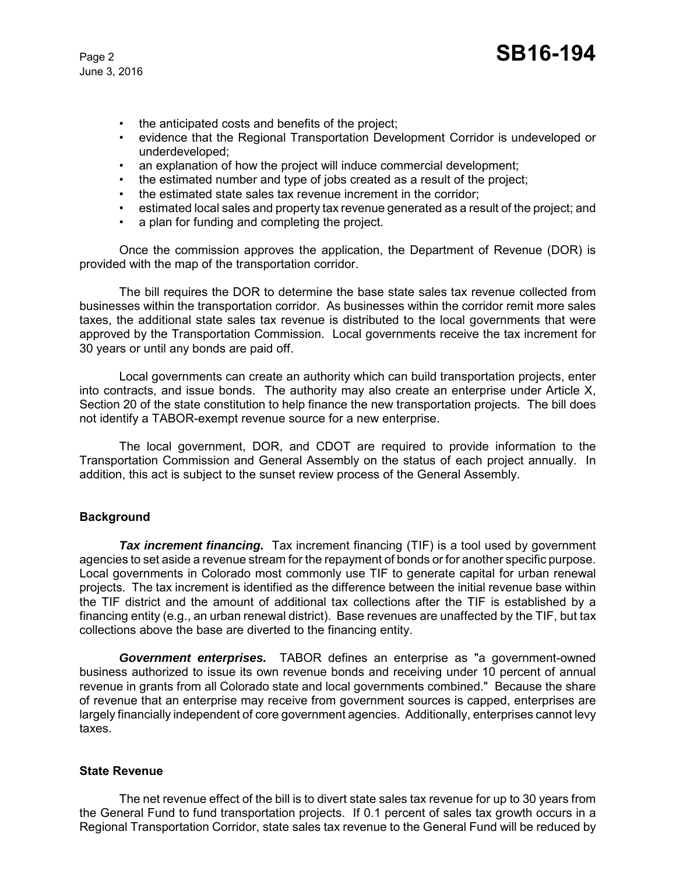- the anticipated costs and benefits of the project;
- evidence that the Regional Transportation Development Corridor is undeveloped or underdeveloped;
- an explanation of how the project will induce commercial development;
- the estimated number and type of jobs created as a result of the project;
- the estimated state sales tax revenue increment in the corridor;
- estimated local sales and property tax revenue generated as a result of the project; and
- a plan for funding and completing the project.

Once the commission approves the application, the Department of Revenue (DOR) is provided with the map of the transportation corridor.

The bill requires the DOR to determine the base state sales tax revenue collected from businesses within the transportation corridor. As businesses within the corridor remit more sales taxes, the additional state sales tax revenue is distributed to the local governments that were approved by the Transportation Commission. Local governments receive the tax increment for 30 years or until any bonds are paid off.

Local governments can create an authority which can build transportation projects, enter into contracts, and issue bonds. The authority may also create an enterprise under Article X, Section 20 of the state constitution to help finance the new transportation projects. The bill does not identify a TABOR-exempt revenue source for a new enterprise.

The local government, DOR, and CDOT are required to provide information to the Transportation Commission and General Assembly on the status of each project annually. In addition, this act is subject to the sunset review process of the General Assembly.

### **Background**

**Tax increment financing.** Tax increment financing (TIF) is a tool used by government agencies to set aside a revenue stream for the repayment of bonds or for another specific purpose. Local governments in Colorado most commonly use TIF to generate capital for urban renewal projects. The tax increment is identified as the difference between the initial revenue base within the TIF district and the amount of additional tax collections after the TIF is established by a financing entity (e.g., an urban renewal district). Base revenues are unaffected by the TIF, but tax collections above the base are diverted to the financing entity.

*Government enterprises.* TABOR defines an enterprise as "a government-owned business authorized to issue its own revenue bonds and receiving under 10 percent of annual revenue in grants from all Colorado state and local governments combined." Because the share of revenue that an enterprise may receive from government sources is capped, enterprises are largely financially independent of core government agencies. Additionally, enterprises cannot levy taxes.

#### **State Revenue**

The net revenue effect of the bill is to divert state sales tax revenue for up to 30 years from the General Fund to fund transportation projects. If 0.1 percent of sales tax growth occurs in a Regional Transportation Corridor, state sales tax revenue to the General Fund will be reduced by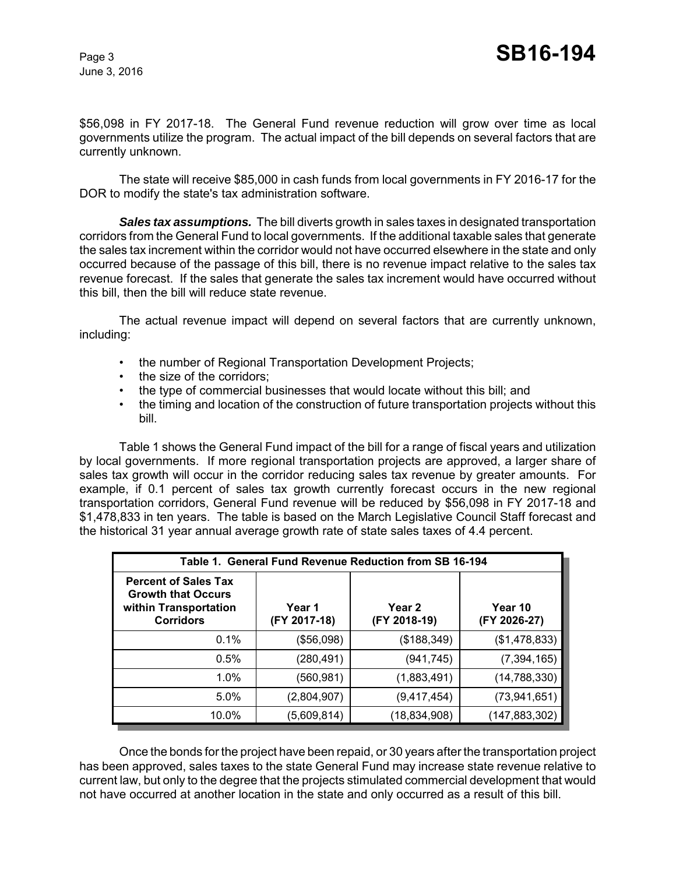\$56,098 in FY 2017-18. The General Fund revenue reduction will grow over time as local governments utilize the program. The actual impact of the bill depends on several factors that are currently unknown.

The state will receive \$85,000 in cash funds from local governments in FY 2016-17 for the DOR to modify the state's tax administration software.

*Sales tax assumptions.* The bill diverts growth in sales taxes in designated transportation corridors from the General Fund to local governments. If the additional taxable sales that generate the sales tax increment within the corridor would not have occurred elsewhere in the state and only occurred because of the passage of this bill, there is no revenue impact relative to the sales tax revenue forecast. If the sales that generate the sales tax increment would have occurred without this bill, then the bill will reduce state revenue.

The actual revenue impact will depend on several factors that are currently unknown, including:

- the number of Regional Transportation Development Projects;
- the size of the corridors:
- the type of commercial businesses that would locate without this bill; and
- the timing and location of the construction of future transportation projects without this bill.

Table 1 shows the General Fund impact of the bill for a range of fiscal years and utilization by local governments. If more regional transportation projects are approved, a larger share of sales tax growth will occur in the corridor reducing sales tax revenue by greater amounts. For example, if 0.1 percent of sales tax growth currently forecast occurs in the new regional transportation corridors, General Fund revenue will be reduced by \$56,098 in FY 2017-18 and \$1,478,833 in ten years. The table is based on the March Legislative Council Staff forecast and the historical 31 year annual average growth rate of state sales taxes of 4.4 percent.

| Table 1. General Fund Revenue Reduction from SB 16-194                                                |                        |                        |                         |  |  |  |
|-------------------------------------------------------------------------------------------------------|------------------------|------------------------|-------------------------|--|--|--|
| <b>Percent of Sales Tax</b><br><b>Growth that Occurs</b><br>within Transportation<br><b>Corridors</b> | Year 1<br>(FY 2017-18) | Year 2<br>(FY 2018-19) | Year 10<br>(FY 2026-27) |  |  |  |
| 0.1%                                                                                                  | (\$56,098)             | (\$188,349)            | (\$1,478,833)           |  |  |  |
| 0.5%                                                                                                  | (280, 491)             | (941, 745)             | (7, 394, 165)           |  |  |  |
| 1.0%                                                                                                  | (560, 981)             | (1,883,491)            | (14, 788, 330)          |  |  |  |
| 5.0%                                                                                                  | (2,804,907)            | (9,417,454)            | (73, 941, 651)          |  |  |  |
| 10.0%                                                                                                 | (5,609,814)            | (18,834,908)           | (147, 883, 302)         |  |  |  |

Once the bonds for the project have been repaid, or 30 years after the transportation project has been approved, sales taxes to the state General Fund may increase state revenue relative to current law, but only to the degree that the projects stimulated commercial development that would not have occurred at another location in the state and only occurred as a result of this bill.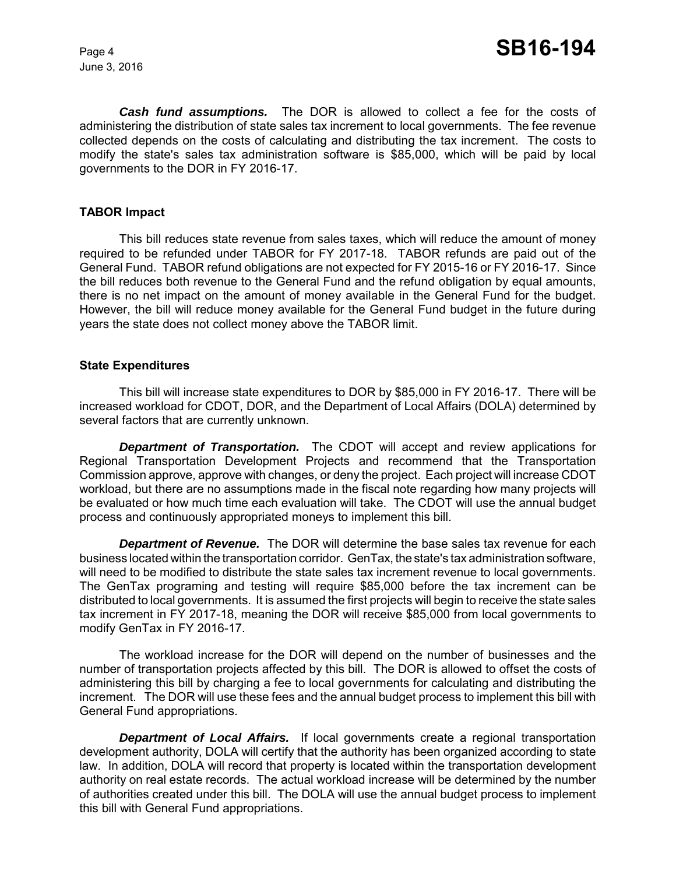*Cash fund assumptions.*The DOR is allowed to collect a fee for the costs of administering the distribution of state sales tax increment to local governments. The fee revenue collected depends on the costs of calculating and distributing the tax increment.The costs to modify the state's sales tax administration software is \$85,000, which will be paid by local governments to the DOR in FY 2016-17.

#### **TABOR Impact**

This bill reduces state revenue from sales taxes, which will reduce the amount of money required to be refunded under TABOR for FY 2017-18. TABOR refunds are paid out of the General Fund. TABOR refund obligations are not expected for FY 2015-16 or FY 2016-17. Since the bill reduces both revenue to the General Fund and the refund obligation by equal amounts, there is no net impact on the amount of money available in the General Fund for the budget. However, the bill will reduce money available for the General Fund budget in the future during years the state does not collect money above the TABOR limit.

#### **State Expenditures**

This bill will increase state expenditures to DOR by \$85,000 in FY 2016-17. There will be increased workload for CDOT, DOR, and the Department of Local Affairs (DOLA) determined by several factors that are currently unknown.

*Department of Transportation.* The CDOT will accept and review applications for Regional Transportation Development Projects and recommend that the Transportation Commission approve, approve with changes, or deny the project. Each project will increase CDOT workload, but there are no assumptions made in the fiscal note regarding how many projects will be evaluated or how much time each evaluation will take. The CDOT will use the annual budget process and continuously appropriated moneys to implement this bill.

*Department of Revenue.* The DOR will determine the base sales tax revenue for each business located within the transportation corridor. GenTax, the state's tax administration software, will need to be modified to distribute the state sales tax increment revenue to local governments. The GenTax programing and testing will require \$85,000 before the tax increment can be distributed to local governments. It is assumed the first projects will begin to receive the state sales tax increment in FY 2017-18, meaning the DOR will receive \$85,000 from local governments to modify GenTax in FY 2016-17.

The workload increase for the DOR will depend on the number of businesses and the number of transportation projects affected by this bill. The DOR is allowed to offset the costs of administering this bill by charging a fee to local governments for calculating and distributing the increment. The DOR will use these fees and the annual budget process to implement this bill with General Fund appropriations.

*Department of Local Affairs.* If local governments create a regional transportation development authority, DOLA will certify that the authority has been organized according to state law. In addition, DOLA will record that property is located within the transportation development authority on real estate records. The actual workload increase will be determined by the number of authorities created under this bill. The DOLA will use the annual budget process to implement this bill with General Fund appropriations.